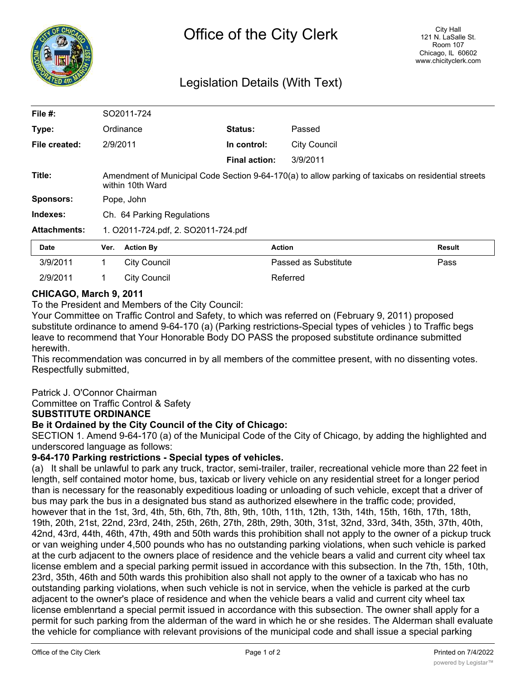

# Legislation Details (With Text)

| File #:             | SO2011-724                                                                                                              |                     |                      |                      |        |
|---------------------|-------------------------------------------------------------------------------------------------------------------------|---------------------|----------------------|----------------------|--------|
| Type:               |                                                                                                                         | Ordinance           | Status:              | Passed               |        |
| File created:       | 2/9/2011                                                                                                                |                     | In control:          | <b>City Council</b>  |        |
|                     |                                                                                                                         |                     | <b>Final action:</b> | 3/9/2011             |        |
| Title:              | Amendment of Municipal Code Section 9-64-170(a) to allow parking of taxicabs on residential streets<br>within 10th Ward |                     |                      |                      |        |
| <b>Sponsors:</b>    | Pope, John                                                                                                              |                     |                      |                      |        |
| Indexes:            | Ch. 64 Parking Regulations                                                                                              |                     |                      |                      |        |
| <b>Attachments:</b> | 1. O2011-724.pdf, 2. SO2011-724.pdf                                                                                     |                     |                      |                      |        |
| <b>Date</b>         | Ver.                                                                                                                    | <b>Action By</b>    |                      | <b>Action</b>        | Result |
| 3/9/2011            | 1.                                                                                                                      | <b>City Council</b> |                      | Passed as Substitute | Pass   |
| 2/9/2011            | 1.                                                                                                                      | <b>City Council</b> |                      | Referred             |        |

## **CHICAGO, March 9, 2011**

To the President and Members of the City Council:

Your Committee on Traffic Control and Safety, to which was referred on (February 9, 2011) proposed substitute ordinance to amend 9-64-170 (a) (Parking restrictions-Special types of vehicles ) to Traffic begs leave to recommend that Your Honorable Body DO PASS the proposed substitute ordinance submitted herewith.

This recommendation was concurred in by all members of the committee present, with no dissenting votes. Respectfully submitted,

#### Patrick J. O'Connor Chairman

Committee on Traffic Control & Safety

#### **SUBSTITUTE ORDINANCE**

#### **Be it Ordained by the City Council of the City of Chicago:**

SECTION 1. Amend 9-64-170 (a) of the Municipal Code of the City of Chicago, by adding the highlighted and underscored language as follows:

### **9-64-170 Parking restrictions - Special types of vehicles.**

(a) It shall be unlawful to park any truck, tractor, semi-trailer, trailer, recreational vehicle more than 22 feet in length, self contained motor home, bus, taxicab or livery vehicle on any residential street for a longer period than is necessary for the reasonably expeditious loading or unloading of such vehicle, except that a driver of bus may park the bus in a designated bus stand as authorized elsewhere in the traffic code; provided, however that in the 1st, 3rd, 4th, 5th, 6th, 7th, 8th, 9th, 10th, 11th, 12th, 13th, 14th, 15th, 16th, 17th, 18th, 19th, 20th, 21st, 22nd, 23rd, 24th, 25th, 26th, 27th, 28th, 29th, 30th, 31st, 32nd, 33rd, 34th, 35th, 37th, 40th, 42nd, 43rd, 44th, 46th, 47th, 49th and 50th wards this prohibition shall not apply to the owner of a pickup truck or van weighing under 4,500 pounds who has no outstanding parking violations, when such vehicle is parked at the curb adjacent to the owners place of residence and the vehicle bears a valid and current city wheel tax license emblem and a special parking permit issued in accordance with this subsection. In the 7th, 15th, 10th, 23rd, 35th, 46th and 50th wards this prohibition also shall not apply to the owner of a taxicab who has no outstanding parking violations, when such vehicle is not in service, when the vehicle is parked at the curb adjacent to the owner's place of residence and when the vehicle bears a valid and current city wheel tax license emblenrtand a special permit issued in accordance with this subsection. The owner shall apply for a permit for such parking from the alderman of the ward in which he or she resides. The Alderman shall evaluate the vehicle for compliance with relevant provisions of the municipal code and shall issue a special parking